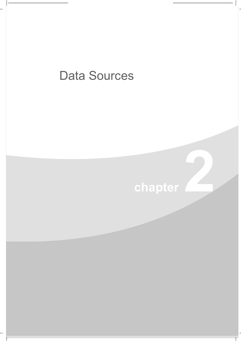## Data Sources

# chapter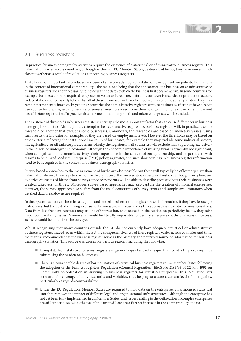## 2.1 Business registers

In practice, business demography statistics require the existence of a statistical or administrative business register. This information varies across countries, although within for EU Member States, as described below, they have moved much closer together as a result of regulations concerning Business Registers.

That all said, it is important for producers and users of enterprise demography statistics to recognise their potential limitations in the context of international comparability - the main one being that the appearance of a business on administrative or business registers does not necessarily coincide with the date at which the business first became active. In some countries for example, businesses may be required to register, or voluntarily register, before any turnover is recorded or production occurs. Indeed it does not necessarily follow that all of these businesses will ever be involved in economic activity; instead they may remain permanently inactive. In yet other countries the administrative registers capture businesses after they have already been active for a while; usually because businesses need to exceed some threshold (commonly turnover or employment based) before registration. In practice this may mean that many small and micro enterprises will be excluded.

The existence of thresholds in business registers is perhaps the most important factor that can cause differences in business demography statistics. Although they attempt to be as exhaustive as possible, business registers will, in practice, use one threshold or another that excludes some businesses. Commonly, the thresholds are based on monetary values, using turnover as the indicator for example, or they are based on employment levels. However the thresholds may be based on other criteria reflecting the institutional make-up of businesses, for example they may exclude some industrial sectors, like agriculture, or all unincorporated firms. Finally the registers, in all countries, will exclude firms operating exclusively in the 'black' or underground economy. Although the economic importance of missing firms is generally not significant, when set against total economic activity, their importance in the context of entrepreneurship, and in particular with regards to Small and Medium Enterprise (SME) policy, is greater, and such shortcomings in business register information need to be recognised in the context of business demography statistics.

Survey based approaches to the measurement of births are also possible but these will typically be of lower quality than information derived from registers, which, in theory, cover all businesses above a certain threshold; although it may be easier to derive estimates of births from surveys since respondents will be able to describe precisely how their businesses were created: takeovers, births etc. Moreover, survey based approaches may also capture the creation of informal enterprises. However, the survey approach also suffers from the usual constraints of survey errors and sample size limitations when detailed data breakdowns are required.

In theory, census data can be at least as good, and sometimes better than register based information, if they have less scope restrictions, but the cost of running a census of businesses every year makes this approach unrealistic for most countries. Data from less frequent censuses may still be of interest but, as discussed in the section on periodicity below, they raise major comparability issues. Moreover, it would be literally impossible to identify enterprise deaths by means of surveys, as there would be no units to be surveyed.

Whilst recognising that many countries outside the EU do not currently have adequate statistical or administrative business registers, indeed, even within the EU the comprehensiveness of these registers varies across countries and time, the manual recommends that the business register serve as the primary and preferred source of information for business demography statistics. This source was chosen for various reasons including the following:

- <sup>N</sup> Using data from statistical business registers is generally quicker and cheaper than conducting a survey, thus minimising the burden on businesses.
- <sup>N</sup> There is a considerable degree of harmonisation of statistical business registers in EU Member States following the adoption of the business registers Regulation (Council Regulation (EEC) No 2186/93 of 22 July 1993 on Community co-ordination in drawing up business registers for statistical purposes). This Regulation sets standards for coverage of activities, units and variables, thus helping to assure a certain level of data quality, particularly as regards comparability.
- N Under the EU Regulation, Member States are required to hold data on the enterprise, a harmonised statistical unit that removes the impact of different legal and organisational infrastructures. Although the enterprise has not yet been fully implemented in all Member States, and issues relating to the delineation of complex enterprises are still under discussion, the use of this unit will ensure a further increase in the comparability of data.